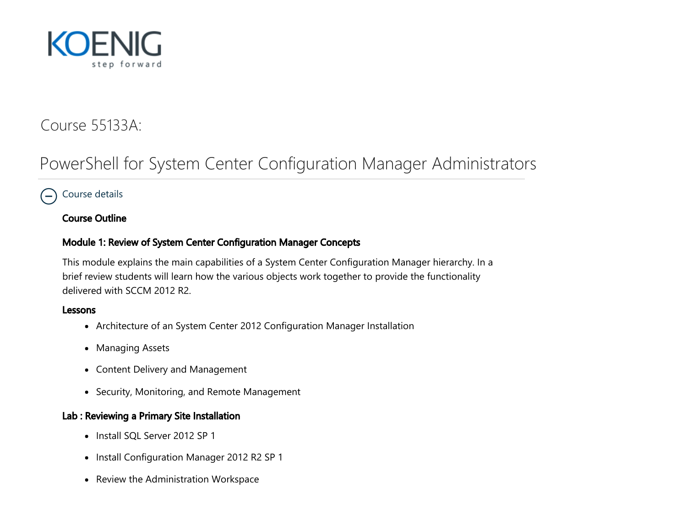

## Course 55133A:

# PowerShell for System Center Configuration Manager Administrators

## <span id="page-0-0"></span> $\supset$  [Course details](#page-0-0)

#### Course Outline

#### Module 1: Review of System Center Configuration Manager Concepts

This module explains the main capabilities of a System Center Configuration Manager hierarchy. In a brief review students will learn how the various objects work together to provide the functionality delivered with SCCM 2012 R2.

#### Lessons

- Architecture of an System Center 2012 Configuration Manager Installation
- Managing Assets
- Content Delivery and Management
- Security, Monitoring, and Remote Management

#### Lab : Reviewing a Primary Site Installation

- Install SQL Server 2012 SP 1
- Install Configuration Manager 2012 R2 SP 1
- Review the Administration Workspace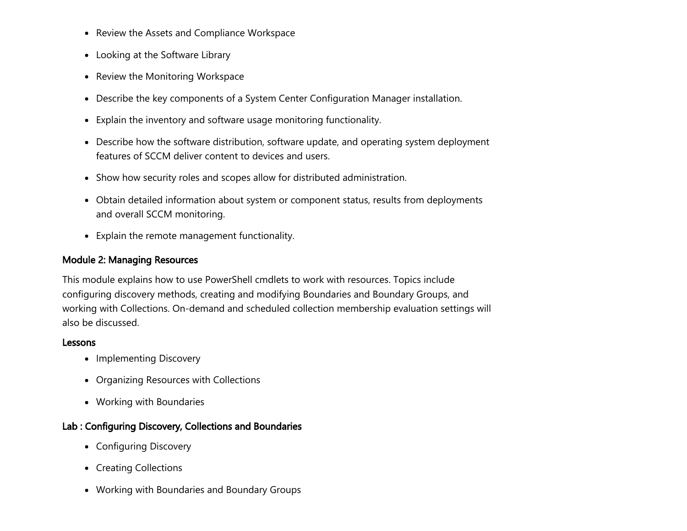- Review the Assets and Compliance Workspace
- Looking at the Software Library
- Review the Monitoring Workspace
- Describe the key components of a System Center Configuration Manager installation.
- Explain the inventory and software usage monitoring functionality.
- Describe how the software distribution, software update, and operating system deployment features of SCCM deliver content to devices and users.
- Show how security roles and scopes allow for distributed administration.
- Obtain detailed information about system or component status, results from deployments and overall SCCM monitoring.
- Explain the remote management functionality.

#### Module 2: Managing Resources

This module explains how to use PowerShell cmdlets to work with resources. Topics include configuring discovery methods, creating and modifying Boundaries and Boundary Groups, and working with Collections. On-demand and scheduled collection membership evaluation settings will also be discussed.

#### Lessons

- Implementing Discovery
- Organizing Resources with Collections
- Working with Boundaries

#### Lab : Configuring Discovery, Collections and Boundaries

- Configuring Discovery
- Creating Collections
- Working with Boundaries and Boundary Groups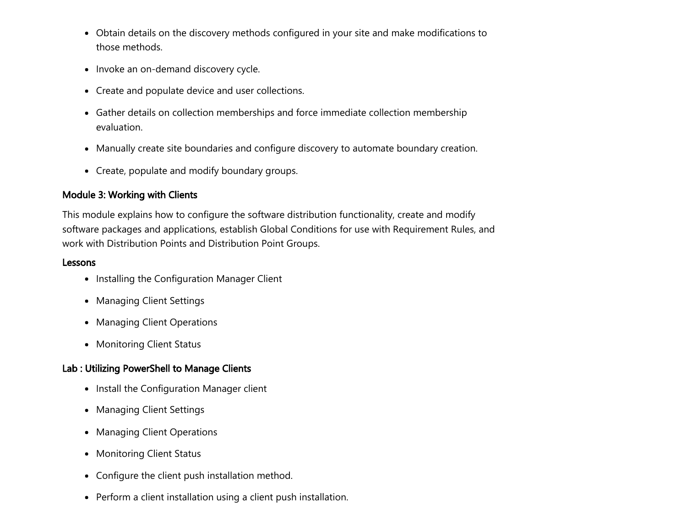- Obtain details on the discovery methods configured in your site and make modifications to those methods.
- Invoke an on-demand discovery cycle.
- Create and populate device and user collections.
- Gather details on collection memberships and force immediate collection membership evaluation.
- Manually create site boundaries and configure discovery to automate boundary creation.
- Create, populate and modify boundary groups.

## Module 3: Working with Clients

This module explains how to configure the software distribution functionality, create and modify software packages and applications, establish Global Conditions for use with Requirement Rules, and work with Distribution Points and Distribution Point Groups.

#### Lessons

- Installing the Configuration Manager Client
- Managing Client Settings
- Managing Client Operations
- Monitoring Client Status

## Lab : Utilizing PowerShell to Manage Clients

- Install the Configuration Manager client
- Managing Client Settings
- Managing Client Operations
- Monitoring Client Status
- Configure the client push installation method.
- Perform a client installation using a client push installation.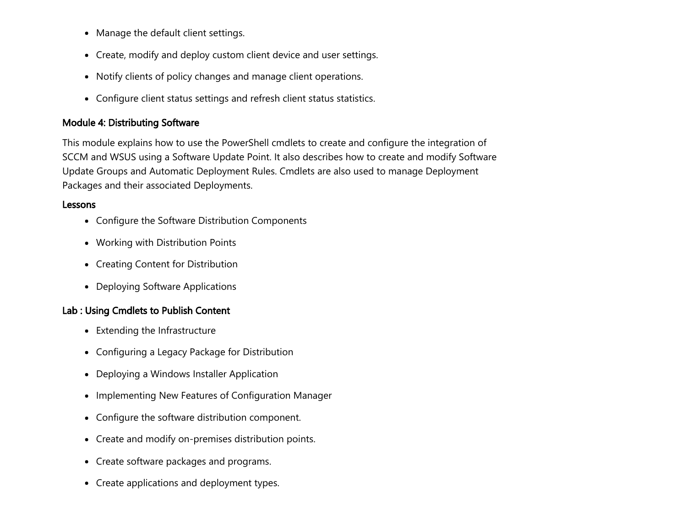- Manage the default client settings.
- Create, modify and deploy custom client device and user settings.
- Notify clients of policy changes and manage client operations.
- Configure client status settings and refresh client status statistics.

## Module 4: Distributing Software

This module explains how to use the PowerShell cmdlets to create and configure the integration of SCCM and WSUS using a Software Update Point. It also describes how to create and modify Software Update Groups and Automatic Deployment Rules. Cmdlets are also used to manage Deployment Packages and their associated Deployments.

#### Lessons

- Configure the Software Distribution Components
- Working with Distribution Points
- Creating Content for Distribution
- Deploying Software Applications

## Lab : Using Cmdlets to Publish Content

- Extending the Infrastructure
- Configuring a Legacy Package for Distribution
- Deploying a Windows Installer Application
- Implementing New Features of Configuration Manager
- Configure the software distribution component.
- Create and modify on-premises distribution points.
- Create software packages and programs.
- Create applications and deployment types.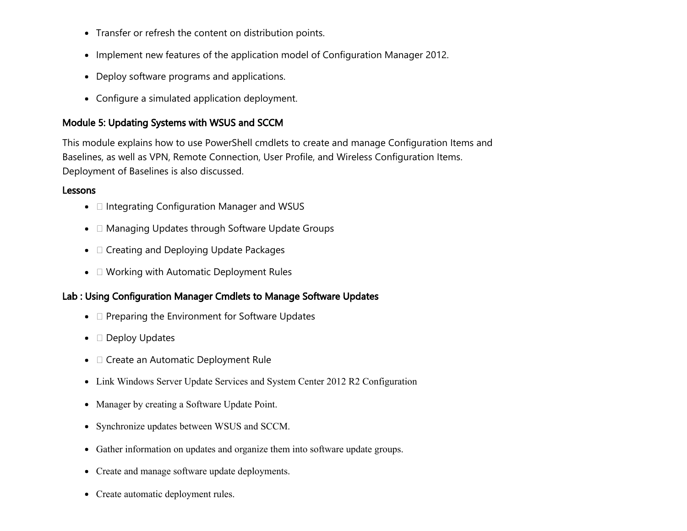- Transfer or refresh the content on distribution points.
- Implement new features of the application model of Configuration Manager 2012.
- Deploy software programs and applications.
- Configure a simulated application deployment.

## Module 5: Updating Systems with WSUS and SCCM

This module explains how to use PowerShell cmdlets to create and manage Configuration Items and Baselines, as well as VPN, Remote Connection, User Profile, and Wireless Configuration Items. Deployment of Baselines is also discussed.

#### **Lessons**

- $\bullet$   $\Box$  Integrating Configuration Manager and WSUS
- $\bullet$   $\Box$  Managing Updates through Software Update Groups
- $\bullet$   $\Box$  Creating and Deploying Update Packages
- $\bullet$   $\Box$  Working with Automatic Deployment Rules

## Lab : Using Configuration Manager Cmdlets to Manage Software Updates

- $\Box$  Preparing the Environment for Software Updates
- $\bullet$   $\square$  Deploy Updates
- $\bullet$   $\Box$  Create an Automatic Deployment Rule
- Link Windows Server Update Services and System Center 2012 R2 Configuration
- Manager by creating a Software Update Point.
- Synchronize updates between WSUS and SCCM.
- Gather information on updates and organize them into software update groups.
- Create and manage software update deployments.
- Create automatic deployment rules.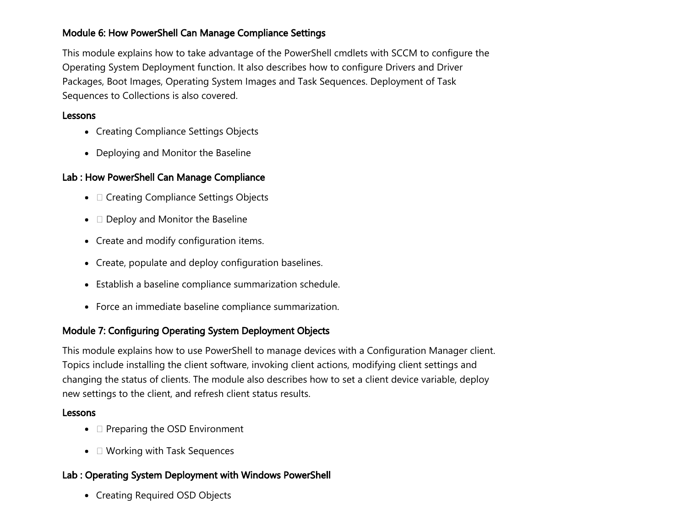#### Module 6: How PowerShell Can Manage Compliance Settings

This module explains how to take advantage of the PowerShell cmdlets with SCCM to configure the Operating System Deployment function. It also describes how to configure Drivers and Driver Packages, Boot Images, Operating System Images and Task Sequences. Deployment of Task Sequences to Collections is also covered.

#### Lessons

- Creating Compliance Settings Objects
- Deploying and Monitor the Baseline

## Lab : How PowerShell Can Manage Compliance

- $\bullet$   $\Box$  Creating Compliance Settings Objects
- $\bullet$   $\Box$  Deploy and Monitor the Baseline
- Create and modify configuration items.
- Create, populate and deploy configuration baselines.
- Establish a baseline compliance summarization schedule.
- Force an immediate baseline compliance summarization.

## Module 7: Configuring Operating System Deployment Objects

This module explains how to use PowerShell to manage devices with a Configuration Manager client. Topics include installing the client software, invoking client actions, modifying client settings and changing the status of clients. The module also describes how to set a client device variable, deploy new settings to the client, and refresh client status results.

#### Lessons

- $\bullet$   $\Box$  Preparing the OSD Environment
- $\bullet$   $\Box$  Working with Task Sequences

## Lab : Operating System Deployment with Windows PowerShell

Creating Required OSD Objects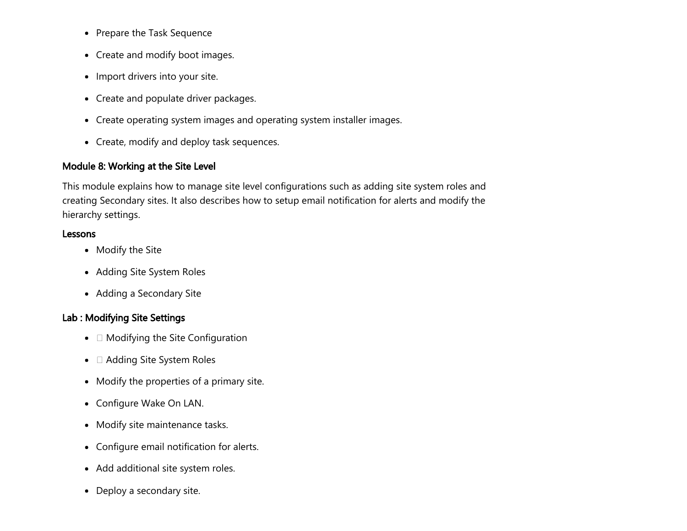- Prepare the Task Sequence
- Create and modify boot images.
- Import drivers into your site.
- Create and populate driver packages.
- Create operating system images and operating system installer images.
- Create, modify and deploy task sequences.

## Module 8: Working at the Site Level

This module explains how to manage site level configurations such as adding site system roles and creating Secondary sites. It also describes how to setup email notification for alerts and modify the hierarchy settings.

#### Lessons

- Modify the Site
- Adding Site System Roles
- Adding a Secondary Site

## Lab : Modifying Site Settings

- $\bullet$   $\Box$  Modifying the Site Configuration
- $\bullet$   $\Box$  Adding Site System Roles
- Modify the properties of a primary site.
- Configure Wake On LAN.
- Modify site maintenance tasks.
- Configure email notification for alerts.
- Add additional site system roles.
- Deploy a secondary site.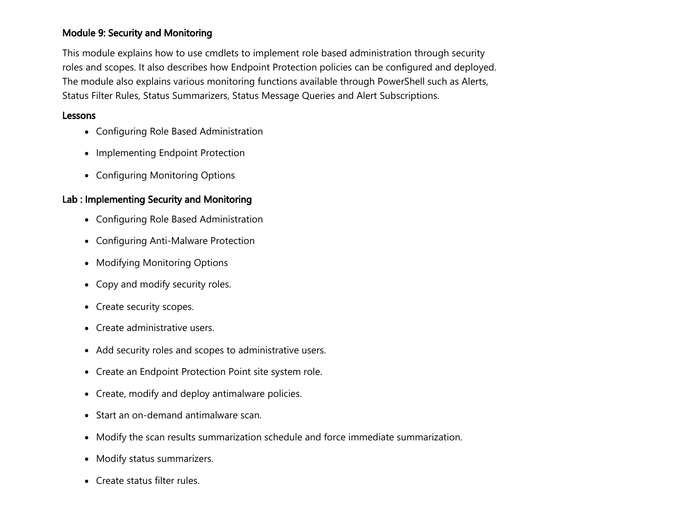#### Module 9: Security and Monitoring

This module explains how to use cmdlets to implement role based administration through security roles and scopes. It also describes how Endpoint Protection policies can be configured and deployed. The module also explains various monitoring functions available through PowerShell such as Alerts, Status Filter Rules, Status Summarizers, Status Message Queries and Alert Subscriptions.

#### Lessons

- Configuring Role Based Administration
- Implementing Endpoint Protection
- Configuring Monitoring Options

#### Lab : Implementing Security and Monitoring

- Configuring Role Based Administration
- Configuring Anti-Malware Protection
- Modifying Monitoring Options
- Copy and modify security roles.
- Create security scopes.
- Create administrative users.
- Add security roles and scopes to administrative users.
- Create an Endpoint Protection Point site system role.
- Create, modify and deploy antimalware policies.
- Start an on-demand antimalware scan.
- Modify the scan results summarization schedule and force immediate summarization.
- Modify status summarizers.
- Create status filter rules.